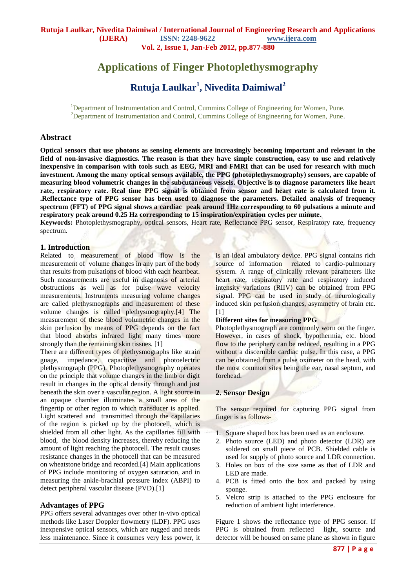# **Applications of Finger Photoplethysmography**

# **Rutuja Laulkar<sup>1</sup> , Nivedita Daimiwal<sup>2</sup>**

<sup>1</sup>Department of Instrumentation and Control, Cummins College of Engineering for Women, Pune. <sup>2</sup>Department of Instrumentation and Control, Cummins College of Engineering for Women, Pune.

## **Abstract**

**Optical sensors that use photons as sensing elements are increasingly becoming important and relevant in the field of non-invasive diagnostics. The reason is that they have simple construction, easy to use and relatively inexpensive in comparison with tools such as EEG, MRI and FMRI that can be used for research with much investment. Among the many optical sensors available, the PPG (photoplethysmography) sensors, are capable of measuring blood volumetric changes in the subcutaneous vessels. Objective is to diagnose parameters like heart rate, respiratory rate. Real time PPG signal is obtained from sensor and heart rate is calculated from it. .Reflectance type of PPG sensor has been used to diagnose the parameters. Detailed analysis of frequency spectrum (FFT) of PPG signal shows a cardiac peak around 1Hz corresponding to 60 pulsations a minute and respiratory peak around 0.25 Hz corresponding to 15 inspiration/expiration cycles per minute**.

**Keywords:** Photoplethysmography, optical sensors, Heart rate, Reflectance PPG sensor, Respiratory rate, frequency spectrum.

### **1. Introduction**

Related to measurement of blood flow is the measurement of volume changes in any part of the body that results from pulsations of blood with each heartbeat. Such measurements are useful in diagnosis of arterial obstructions as well as for pulse wave velocity measurements. Instruments measuring volume changes are called plethysmographs and measurement of these volume changes is called plethysmography.[4] The measurement of these blood volumetric changes in the skin perfusion by means of PPG depends on the fact that blood absorbs infrared light many times more strongly than the remaining skin tissues. [1]

There are different types of plethysmographs like strain guage, impedance, capacitive and photoelectric plethysmograph (PPG). Photoplethysmography operates on the principle that volume changes in the limb or digit result in changes in the optical density through and just beneath the skin over a vascular region. A light source in an opaque chamber illuminates a small area of the fingertip or other region to which transducer is applied. Light scattered and transmitted through the capillaries of the region is picked up by the photocell, which is shielded from all other light. As the capillaries fill with blood, the blood density increases, thereby reducing the amount of light reaching the photocell. The result causes resistance changes in the photocell that can be measured on wheatstone bridge and recorded.[4] Main applications of PPG include monitoring of oxygen saturation, and in measuring the ankle-brachial pressure index (ABPI) to detect peripheral vascular disease (PVD).[1]

#### **Advantages of PPG**

PPG offers several advantages over other in-vivo optical methods like Laser Doppler flowmetry (LDF). PPG uses inexpensive optical sensors, which are rugged and needs less maintenance. Since it consumes very less power, it is an ideal ambulatory device. PPG signal contains rich source of information related to cardio-pulmonary system. A range of clinically relevant parameters like heart rate, respiratory rate and respiratory induced intensity variations (RIIV) can be obtained from PPG signal. PPG can be used in study of neurologically induced skin perfusion changes, asymmetry of brain etc. [1]

### **Different sites for measuring PPG**

Photoplethysmograph are commonly worn on the finger. However, in cases of shock, [hypothermia,](http://en.wikipedia.org/wiki/Hypothermia) etc. blood flow to the periphery can be reduced, resulting in a PPG without a discernible cardiac pulse. In this case, a PPG can be obtained from a pulse oximeter on the head, with the most common sites being the ear, [nasal septum,](http://en.wikipedia.org/wiki/Nasal_septum) and forehead.

## **2. Sensor Design**

The sensor required for capturing PPG signal from finger is as follows-

- 1. Square shaped box has been used as an enclosure.
- 2. Photo source (LED) and photo detector (LDR) are soldered on small piece of PCB. Shielded cable is used for supply of photo source and LDR connection.
- 3. Holes on box of the size same as that of LDR and LED are made.
- 4. PCB is fitted onto the box and packed by using sponge.
- 5. Velcro strip is attached to the PPG enclosure for reduction of ambient light interference.

Figure 1 shows the reflectance type of PPG sensor. If PPG is obtained from reflected light, source and detector will be housed on same plane as shown in figure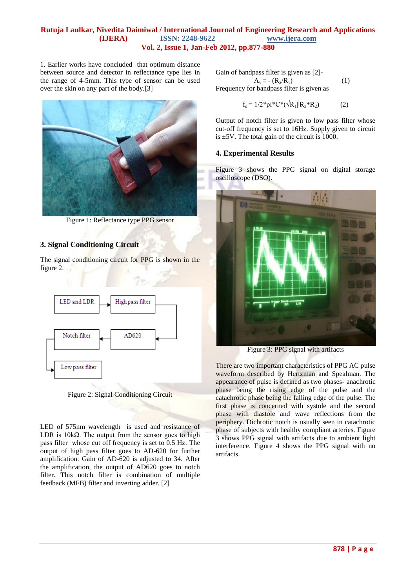# **Rutuja Laulkar, Nivedita Daimiwal / International Journal of Engineering Research and Applications (IJERA) ISSN: 2248-9622 www.ijera.com Vol. 2, Issue 1, Jan-Feb 2012, pp.877-880**

1. Earlier works have concluded that optimum distance between source and detector in reflectance type lies in the range of 4-5mm. This type of sensor can be used over the skin on any part of the body.[3]



Figure 1: Reflectance type PPG sensor

# **3. Signal Conditioning Circuit**

The signal conditioning circuit for PPG is shown in the figure 2.



Figure 2: Signal Conditioning Circuit

LED of 575nm wavelength is used and resistance of LDR is  $10kΩ$ . The output from the sensor goes to high pass filter whose cut off frequency is set to 0.5 Hz. The output of high pass filter goes to AD-620 for further amplification. Gain of AD-620 is adjusted to 34. After the amplification, the output of AD620 goes to notch filter. This notch filter is combination of multiple feedback (MFB) filter and inverting adder. [2]

Gain of bandpass filter is given as [2]-  $A_v = - (R_2/R_1)$  (1) Frequency for bandpass filter is given as

$$
f_o = 1/2 * pi * C * (\sqrt{R_1} || R_3 * R_2)
$$
 (2)

Output of notch filter is given to low pass filter whose cut-off frequency is set to 16Hz. Supply given to circuit is  $\pm$ 5V. The total gain of the circuit is 1000.

# **4. Experimental Results**

Figure 3 shows the PPG signal on digital storage oscilloscope (DSO).



Figure 3: PPG signal with artifacts

There are two important characteristics of PPG AC pulse waveform described by Hertzman and Spealman. The appearance of pulse is defined as two phases- anachrotic phase being the rising edge of the pulse and the catachrotic phase being the falling edge of the pulse. The first phase is concerned with systole and the second phase with diastole and wave reflections from the periphery. Dichrotic notch is usually seen in catachrotic phase of subjects with healthy compliant arteries. Figure 3 shows PPG signal with artifacts due to ambient light interference. Figure 4 shows the PPG signal with no artifacts.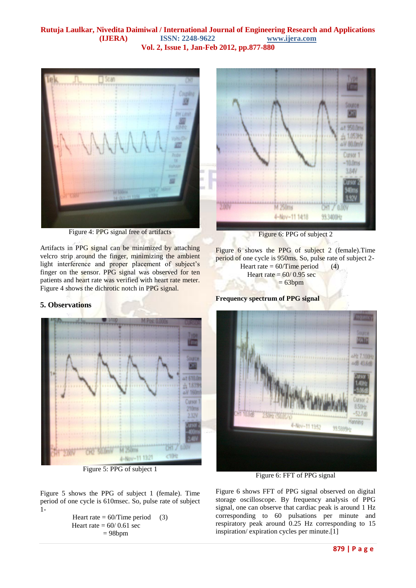# **Rutuja Laulkar, Nivedita Daimiwal / International Journal of Engineering Research and Applications (IJERA) ISSN: 2248-9622 www.ijera.com Vol. 2, Issue 1, Jan-Feb 2012, pp.877-880**



Figure 4: PPG signal free of artifacts

Artifacts in PPG signal can be minimized by attaching velcro strip around the finger, minimizing the ambient light interference and proper placement of subject's finger on the sensor. PPG signal was observed for ten patients and heart rate was verified with heart rate meter. Figure 4 shows the dichrotic notch in PPG signal.

# **5. Observations**



Figure 5: PPG of subject 1

Figure 5 shows the PPG of subject 1 (female). Time period of one cycle is 610msec. So, pulse rate of subject 1-

> Heart rate  $= 60$ /Time period (3) Heart rate  $= 60/0.61$  sec  $= 98b$ pm



Figure 6: PPG of subject 2

Figure 6 shows the PPG of subject 2 (female).Time period of one cycle is 950ms. So, pulse rate of subject 2- Heart rate  $= 60$ /Time period (4) Heart rate  $= 60/0.95$  sec

 $= 63$ bpm

**Frequency spectrum of PPG signal**



Figure 6: FFT of PPG signal

Figure 6 shows FFT of PPG signal observed on digital storage oscilloscope. By frequency analysis of PPG signal, one can observe that cardiac peak is around 1 Hz corresponding to 60 pulsations per minute and respiratory peak around 0.25 Hz corresponding to 15 inspiration/ expiration cycles per minute.[1]